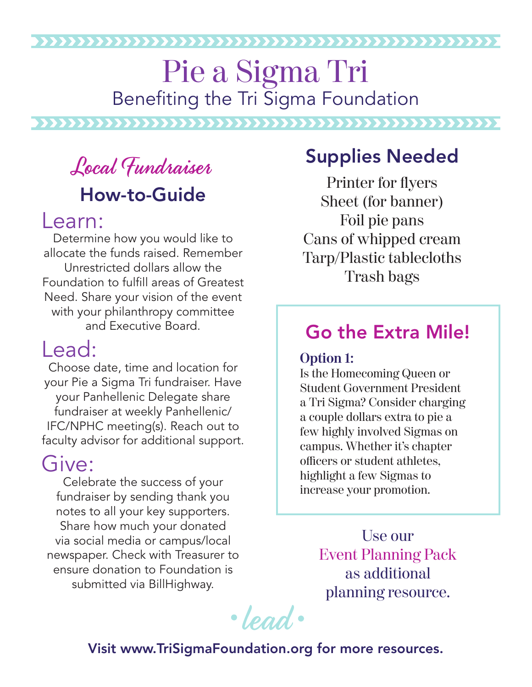#### 

### Pie a Sigma Tri Benefiting the Tri Sigma Foundation

# Local Fundraiser How-to-Guide

#### Learn:

Determine how you would like to allocate the funds raised. Remember Unrestricted dollars allow the Foundation to fulfill areas of Greatest Need. Share your vision of the event with your philanthropy committee and Executive Board.

### Lead:

Choose date, time and location for your Pie a Sigma Tri fundraiser. Have your Panhellenic Delegate share fundraiser at weekly Panhellenic/ IFC/NPHC meeting(s). Reach out to faculty advisor for additional support.

#### Give:

Celebrate the success of your fundraiser by sending thank you notes to all your key supporters. Share how much your donated via social media or campus/local newspaper. Check with Treasurer to ensure donation to Foundation is submitted via BillHighway.

#### Supplies Needed

Printer for flyers Sheet (for banner) Foil pie pans Cans of whipped cream Tarp/Plastic tablecloths Trash bags

#### Go the Extra Mile!

#### **Option 1:**

Is the Homecoming Queen or Student Government President a Tri Sigma? Consider charging a couple dollars extra to pie a few highly involved Sigmas on campus. Whether it's chapter officers or student athletes, highlight a few Sigmas to increase your promotion.

> Use our Event Planning Pack as additional planning resource.

·lead.

#### Visit www.TriSigmaFoundation.org for more resources.